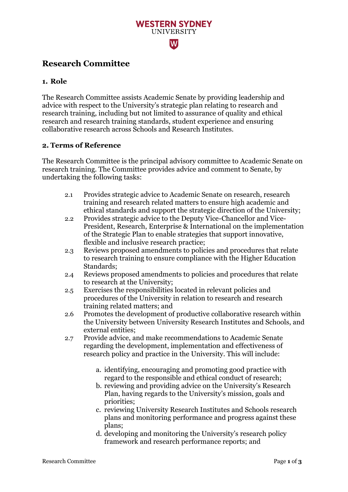# $|\mathbf{W}|$

## **Research Committee**

#### **1. Role**

The Research Committee assists Academic Senate by providing leadership and advice with respect to the University's strategic plan relating to research and research training, including but not limited to assurance of quality and ethical research and research training standards, student experience and ensuring collaborative research across Schools and Research Institutes.

**WESTERN SYDNEY UNIVERSITY** 

#### **2. Terms of Reference**

The Research Committee is the principal advisory committee to Academic Senate on research training. The Committee provides advice and comment to Senate, by undertaking the following tasks:

- 2.1 Provides strategic advice to Academic Senate on research, research training and research related matters to ensure high academic and ethical standards and support the strategic direction of the University;
- 2.2 Provides strategic advice to the Deputy Vice-Chancellor and Vice-President, Research, Enterprise & International on the implementation of the Strategic Plan to enable strategies that support innovative, flexible and inclusive research practice;
- 2.3 Reviews proposed amendments to policies and procedures that relate to research training to ensure compliance with the Higher Education Standards;
- 2.4 Reviews proposed amendments to policies and procedures that relate to research at the University;
- 2.5 Exercises the responsibilities located in relevant policies and procedures of the University in relation to research and research training related matters; and
- 2.6 Promotes the development of productive collaborative research within the University between University Research Institutes and Schools, and external entities;
- 2.7 Provide advice, and make recommendations to Academic Senate regarding the development, implementation and effectiveness of research policy and practice in the University. This will include:
	- a. identifying, encouraging and promoting good practice with regard to the responsible and ethical conduct of research;
	- b. reviewing and providing advice on the University's Research Plan, having regards to the University's mission, goals and priorities;
	- c. reviewing University Research Institutes and Schools research plans and monitoring performance and progress against these plans;
	- d. developing and monitoring the University's research policy framework and research performance reports; and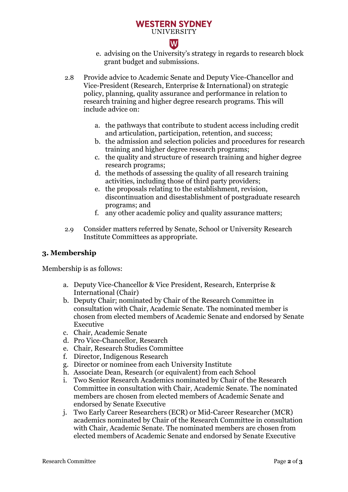#### **WESTERN SYDNEY UNIVERSITY**

# $|\mathbf{W}|$

- e. advising on the University's strategy in regards to research block grant budget and submissions.
- 2.8 Provide advice to Academic Senate and Deputy Vice-Chancellor and Vice-President (Research, Enterprise & International) on strategic policy, planning, quality assurance and performance in relation to research training and higher degree research programs. This will include advice on:
	- a. the pathways that contribute to student access including credit and articulation, participation, retention, and success;
	- b. the admission and selection policies and procedures for research training and higher degree research programs;
	- c. the quality and structure of research training and higher degree research programs;
	- d. the methods of assessing the quality of all research training activities, including those of third party providers;
	- e. the proposals relating to the establishment, revision, discontinuation and disestablishment of postgraduate research programs; and
	- f. any other academic policy and quality assurance matters;
- 2.9 Consider matters referred by Senate, School or University Research Institute Committees as appropriate.

## **3. Membership**

Membership is as follows:

- a. Deputy Vice-Chancellor & Vice President, Research, Enterprise & International (Chair)
- b. Deputy Chair; nominated by Chair of the Research Committee in consultation with Chair, Academic Senate. The nominated member is chosen from elected members of Academic Senate and endorsed by Senate Executive
- c. Chair, Academic Senate
- d. Pro Vice-Chancellor, Research
- e. Chair, Research Studies Committee
- f. Director, Indigenous Research
- g. Director or nominee from each University Institute
- h. Associate Dean, Research (or equivalent) from each School
- i. Two Senior Research Academics nominated by Chair of the Research Committee in consultation with Chair, Academic Senate. The nominated members are chosen from elected members of Academic Senate and endorsed by Senate Executive
- j. Two Early Career Researchers (ECR) or Mid-Career Researcher (MCR) academics nominated by Chair of the Research Committee in consultation with Chair, Academic Senate. The nominated members are chosen from elected members of Academic Senate and endorsed by Senate Executive